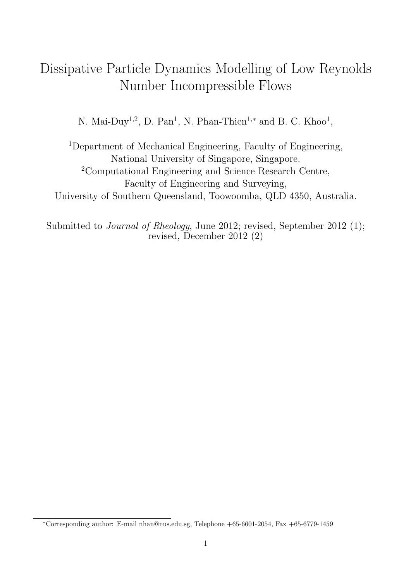# Dissipative Particle Dynamics Modelling of Low Reynolds Number Incompressible Flows

N. Mai-Duy<sup>1,2</sup>, D. Pan<sup>1</sup>, N. Phan-Thien<sup>1,\*</sup> and B. C. Khoo<sup>1</sup>,

<sup>1</sup>Department of Mechanical Engineering, Faculty of Engineering, National University of Singapore, Singapore. <sup>2</sup>Computational Engineering and Science Research Centre, Faculty of Engineering and Surveying, University of Southern Queensland, Toowoomba, QLD 4350, Australia.

Submitted to *Journal of Rheology*, June 2012; revised, September 2012 (1); revised, December 2012 (2)

*<sup>∗</sup>*Corresponding author: E-mail nhan@nus.edu.sg, Telephone +65-6601-2054, Fax +65-6779-1459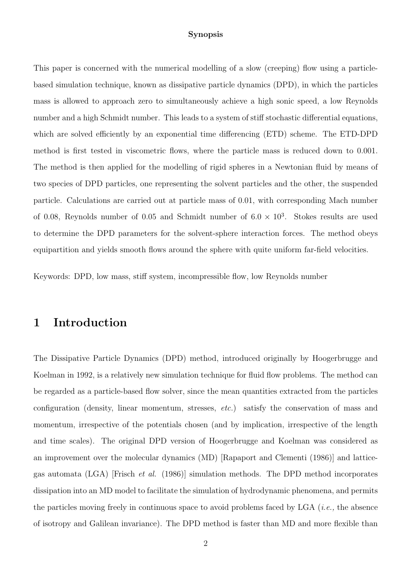#### **Synopsis**

This paper is concerned with the numerical modelling of a slow (creeping) flow using a particlebased simulation technique, known as dissipative particle dynamics (DPD), in which the particles mass is allowed to approach zero to simultaneously achieve a high sonic speed, a low Reynolds number and a high Schmidt number. This leads to a system of stiff stochastic differential equations, which are solved efficiently by an exponential time differencing (ETD) scheme. The ETD-DPD method is first tested in viscometric flows, where the particle mass is reduced down to 0.001. The method is then applied for the modelling of rigid spheres in a Newtonian fluid by means of two species of DPD particles, one representing the solvent particles and the other, the suspended particle. Calculations are carried out at particle mass of 0.01, with corresponding Mach number of 0.08, Reynolds number of 0.05 and Schmidt number of  $6.0 \times 10^3$ . Stokes results are used to determine the DPD parameters for the solvent-sphere interaction forces. The method obeys equipartition and yields smooth flows around the sphere with quite uniform far-field velocities.

Keywords: DPD, low mass, stiff system, incompressible flow, low Reynolds number

### **1 Introduction**

The Dissipative Particle Dynamics (DPD) method, introduced originally by Hoogerbrugge and Koelman in 1992, is a relatively new simulation technique for fluid flow problems. The method can be regarded as a particle-based flow solver, since the mean quantities extracted from the particles configuration (density, linear momentum, stresses, *etc.*) satisfy the conservation of mass and momentum, irrespective of the potentials chosen (and by implication, irrespective of the length and time scales). The original DPD version of Hoogerbrugge and Koelman was considered as an improvement over the molecular dynamics (MD) [Rapaport and Clementi (1986)] and latticegas automata (LGA) [Frisch *et al.* (1986)] simulation methods. The DPD method incorporates dissipation into an MD model to facilitate the simulation of hydrodynamic phenomena, and permits the particles moving freely in continuous space to avoid problems faced by LGA (*i.e.,* the absence of isotropy and Galilean invariance). The DPD method is faster than MD and more flexible than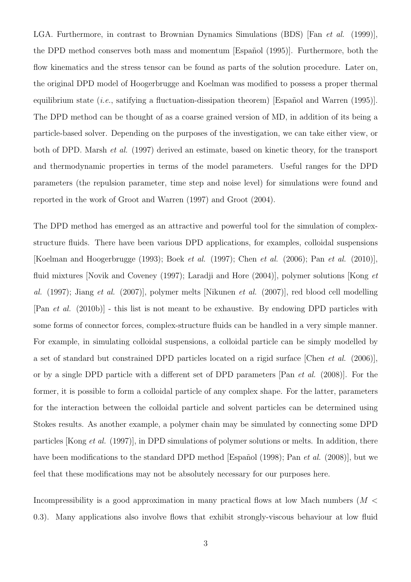LGA. Furthermore, in contrast to Brownian Dynamics Simulations (BDS) [Fan *et al.* (1999)], the DPD method conserves both mass and momentum [Español (1995)]. Furthermore, both the flow kinematics and the stress tensor can be found as parts of the solution procedure. Later on, the original DPD model of Hoogerbrugge and Koelman was modified to possess a proper thermal equilibrium state *(i.e.*, satifying a fluctuation-dissipation theorem) [Español and Warren (1995)]. The DPD method can be thought of as a coarse grained version of MD, in addition of its being a particle-based solver. Depending on the purposes of the investigation, we can take either view, or both of DPD. Marsh *et al.* (1997) derived an estimate, based on kinetic theory, for the transport and thermodynamic properties in terms of the model parameters. Useful ranges for the DPD parameters (the repulsion parameter, time step and noise level) for simulations were found and reported in the work of Groot and Warren (1997) and Groot (2004).

The DPD method has emerged as an attractive and powerful tool for the simulation of complexstructure fluids. There have been various DPD applications, for examples, colloidal suspensions [Koelman and Hoogerbrugge (1993); Boek *et al.* (1997); Chen *et al.* (2006); Pan *et al.* (2010)], fluid mixtures [Novik and Coveney (1997); Laradji and Hore (2004)], polymer solutions [Kong *et al.* (1997); Jiang *et al.* (2007)], polymer melts [Nikunen *et al.* (2007)], red blood cell modelling [Pan *et al.* (2010b)] - this list is not meant to be exhaustive. By endowing DPD particles with some forms of connector forces, complex-structure fluids can be handled in a very simple manner. For example, in simulating colloidal suspensions, a colloidal particle can be simply modelled by a set of standard but constrained DPD particles located on a rigid surface [Chen *et al.* (2006)], or by a single DPD particle with a different set of DPD parameters [Pan *et al.* (2008)]. For the former, it is possible to form a colloidal particle of any complex shape. For the latter, parameters for the interaction between the colloidal particle and solvent particles can be determined using Stokes results. As another example, a polymer chain may be simulated by connecting some DPD particles [Kong *et al.* (1997)], in DPD simulations of polymer solutions or melts. In addition, there have been modifications to the standard DPD method [Español (1998); Pan *et al.* (2008)], but we feel that these modifications may not be absolutely necessary for our purposes here.

Incompressibility is a good approximation in many practical flows at low Mach numbers (*M <* 0*.*3). Many applications also involve flows that exhibit strongly-viscous behaviour at low fluid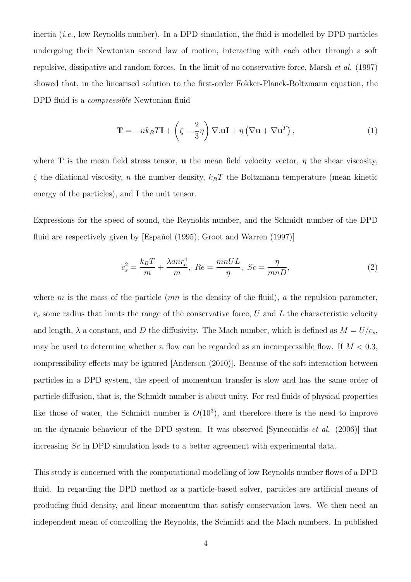inertia (*i.e.,* low Reynolds number). In a DPD simulation, the fluid is modelled by DPD particles undergoing their Newtonian second law of motion, interacting with each other through a soft repulsive, dissipative and random forces. In the limit of no conservative force, Marsh *et al.* (1997) showed that, in the linearised solution to the first-order Fokker-Planck-Boltzmann equation, the DPD fluid is a *compressible* Newtonian fluid

$$
\mathbf{T} = -nk_BT\mathbf{I} + \left(\zeta - \frac{2}{3}\eta\right)\nabla.\mathbf{u}\mathbf{I} + \eta\left(\nabla\mathbf{u} + \nabla\mathbf{u}^T\right),\tag{1}
$$

where **T** is the mean field stress tensor, **u** the mean field velocity vector, *η* the shear viscosity, *ζ* the dilational viscosity, *n* the number density,  $k_B T$  the Boltzmann temperature (mean kinetic energy of the particles), and **I** the unit tensor.

Expressions for the speed of sound, the Reynolds number, and the Schmidt number of the DPD fluid are respectively given by [Español  $(1995)$ ; Groot and Warren  $(1997)$ ]

$$
c_s^2 = \frac{k_B T}{m} + \frac{\lambda a n r_c^4}{m}, \ Re = \frac{m n U L}{\eta}, \ Sc = \frac{\eta}{m n D}, \tag{2}
$$

where *m* is the mass of the particle (*mn* is the density of the fluid), *a* the repulsion parameter, *r<sup>c</sup>* some radius that limits the range of the conservative force, *U* and *L* the characteristic velocity and length,  $\lambda$  a constant, and  $D$  the diffusivity. The Mach number, which is defined as  $M = U/c_s$ , may be used to determine whether a flow can be regarded as an incompressible flow. If  $M < 0.3$ , compressibility effects may be ignored [Anderson (2010)]. Because of the soft interaction between particles in a DPD system, the speed of momentum transfer is slow and has the same order of particle diffusion, that is, the Schmidt number is about unity. For real fluids of physical properties like those of water, the Schmidt number is  $O(10^3)$ , and therefore there is the need to improve on the dynamic behaviour of the DPD system. It was observed [Symeonidis *et al.* (2006)] that increasing *Sc* in DPD simulation leads to a better agreement with experimental data.

This study is concerned with the computational modelling of low Reynolds number flows of a DPD fluid. In regarding the DPD method as a particle-based solver, particles are artificial means of producing fluid density, and linear momentum that satisfy conservation laws. We then need an independent mean of controlling the Reynolds, the Schmidt and the Mach numbers. In published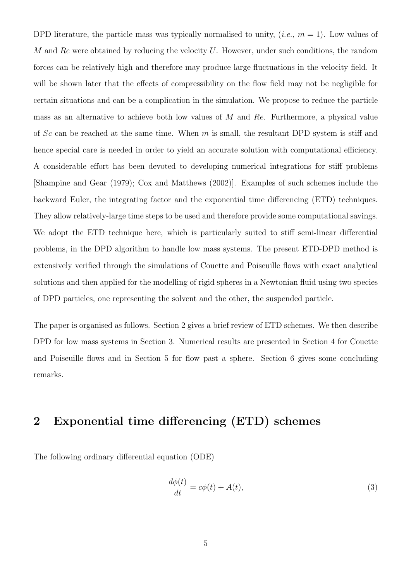DPD literature, the particle mass was typically normalised to unity,  $(i.e., m = 1)$ . Low values of *M* and *Re* were obtained by reducing the velocity *U*. However, under such conditions, the random forces can be relatively high and therefore may produce large fluctuations in the velocity field. It will be shown later that the effects of compressibility on the flow field may not be negligible for certain situations and can be a complication in the simulation. We propose to reduce the particle mass as an alternative to achieve both low values of *M* and *Re*. Furthermore, a physical value of *Sc* can be reached at the same time. When *m* is small, the resultant DPD system is stiff and hence special care is needed in order to yield an accurate solution with computational efficiency. A considerable effort has been devoted to developing numerical integrations for stiff problems [Shampine and Gear (1979); Cox and Matthews (2002)]. Examples of such schemes include the backward Euler, the integrating factor and the exponential time differencing (ETD) techniques. They allow relatively-large time steps to be used and therefore provide some computational savings. We adopt the ETD technique here, which is particularly suited to stiff semi-linear differential problems, in the DPD algorithm to handle low mass systems. The present ETD-DPD method is extensively verified through the simulations of Couette and Poiseuille flows with exact analytical solutions and then applied for the modelling of rigid spheres in a Newtonian fluid using two species of DPD particles, one representing the solvent and the other, the suspended particle.

The paper is organised as follows. Section 2 gives a brief review of ETD schemes. We then describe DPD for low mass systems in Section 3. Numerical results are presented in Section 4 for Couette and Poiseuille flows and in Section 5 for flow past a sphere. Section 6 gives some concluding remarks.

## **2 Exponential time differencing (ETD) schemes**

The following ordinary differential equation (ODE)

$$
\frac{d\phi(t)}{dt} = c\phi(t) + A(t),\tag{3}
$$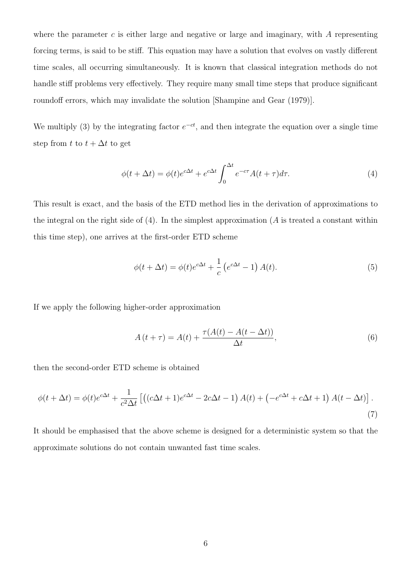where the parameter *c* is either large and negative or large and imaginary, with *A* representing forcing terms, is said to be stiff. This equation may have a solution that evolves on vastly different time scales, all occurring simultaneously. It is known that classical integration methods do not handle stiff problems very effectively. They require many small time steps that produce significant roundoff errors, which may invalidate the solution [Shampine and Gear (1979)].

We multiply (3) by the integrating factor  $e^{-ct}$ , and then integrate the equation over a single time step from *t* to  $t + \Delta t$  to get

$$
\phi(t + \Delta t) = \phi(t)e^{c\Delta t} + e^{c\Delta t} \int_0^{\Delta t} e^{-c\tau} A(t + \tau) d\tau.
$$
\n(4)

This result is exact, and the basis of the ETD method lies in the derivation of approximations to the integral on the right side of  $(4)$ . In the simplest approximation  $(A)$  is treated a constant within this time step), one arrives at the first-order ETD scheme

$$
\phi(t + \Delta t) = \phi(t)e^{c\Delta t} + \frac{1}{c} \left(e^{c\Delta t} - 1\right)A(t).
$$
\n(5)

If we apply the following higher-order approximation

$$
A(t+\tau) = A(t) + \frac{\tau(A(t) - A(t - \Delta t))}{\Delta t},\tag{6}
$$

then the second-order ETD scheme is obtained

$$
\phi(t + \Delta t) = \phi(t)e^{c\Delta t} + \frac{1}{c^2\Delta t} \left[ \left( (c\Delta t + 1)e^{c\Delta t} - 2c\Delta t - 1 \right) A(t) + \left( -e^{c\Delta t} + c\Delta t + 1 \right) A(t - \Delta t) \right].
$$
\n(7)

It should be emphasised that the above scheme is designed for a deterministic system so that the approximate solutions do not contain unwanted fast time scales.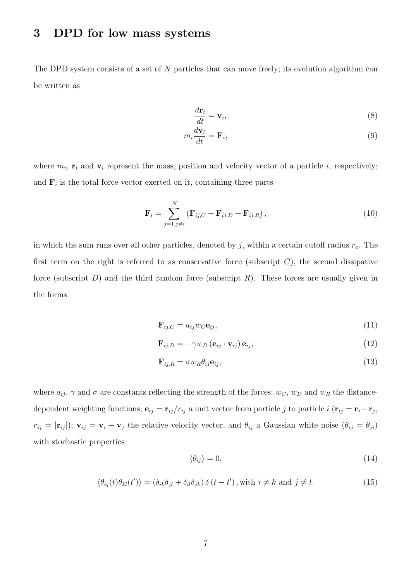### **3 DPD for low mass systems**

The DPD system consists of a set of *N* particles that can move freely; its evolution algorithm can be written as

$$
\frac{d\mathbf{r}_i}{dt} = \mathbf{v}_i,\tag{8}
$$

$$
m_i \frac{d\mathbf{v}_i}{dt} = \mathbf{F}_i,\tag{9}
$$

where  $m_i$ ,  $\mathbf{r}_i$  and  $\mathbf{v}_i$  represent the mass, position and velocity vector of a particle *i*, respectively; and  $\mathbf{F}_i$  is the total force vector exerted on it, containing three parts

$$
\mathbf{F}_{i} = \sum_{j=1,j\neq i}^{N} (\mathbf{F}_{ij,C} + \mathbf{F}_{ij,D} + \mathbf{F}_{ij,R}),
$$
\n(10)

in which the sum runs over all other particles, denoted by  $j$ , within a certain cutoff radius  $r_c$ . The first term on the right is referred to as conservative force (subscript  $C$ ), the second dissipative force (subscript *D*) and the third random force (subscript *R*). These forces are usually given in the forms

$$
\mathbf{F}_{ij,C} = a_{ij} w_C \mathbf{e}_{ij},\tag{11}
$$

$$
\mathbf{F}_{ij,D} = -\gamma w_D \left( \mathbf{e}_{ij} \cdot \mathbf{v}_{ij} \right) \mathbf{e}_{ij},\tag{12}
$$

$$
\mathbf{F}_{ij,R} = \sigma w_R \theta_{ij} \mathbf{e}_{ij},\tag{13}
$$

where  $a_{ij}$ ,  $\gamma$  and  $\sigma$  are constants reflecting the strength of the forces;  $w_C$ ,  $w_D$  and  $w_R$  the distancedependent weighting functions;  $e_{ij} = r_{ij}/r_{ij}$  a unit vector from particle *j* to particle *i* ( $r_{ij} = r_i - r_j$ ),  $r_{ij} = |\mathbf{r}_{ij}|$ ;  $\mathbf{v}_{ij} = \mathbf{v}_i - \mathbf{v}_j$  the relative velocity vector, and  $\theta_{ij}$  a Gaussian white noise  $(\theta_{ij} = \theta_{ji})$ with stochastic properties

$$
\langle \theta_{ij} \rangle = 0,\tag{14}
$$

$$
\langle \theta_{ij}(t)\theta_{kl}(t')\rangle = (\delta_{ik}\delta_{jl} + \delta_{il}\delta_{jk})\,\delta\left(t - t'\right),\text{with } i \neq k \text{ and } j \neq l. \tag{15}
$$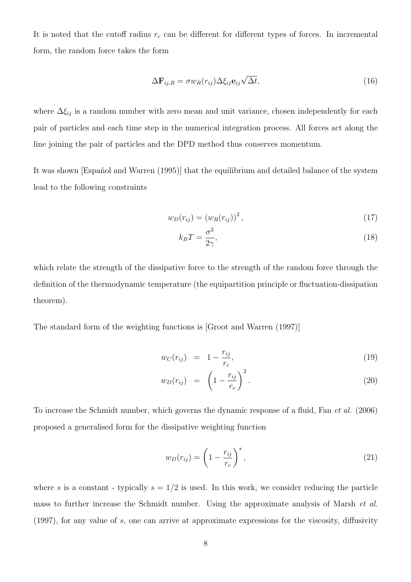It is noted that the cutoff radius  $r_c$  can be different for different types of forces. In incremental form, the random force takes the form

$$
\Delta \mathbf{F}_{ij,R} = \sigma w_R(r_{ij}) \Delta \xi_{ij} \mathbf{e}_{ij} \sqrt{\Delta t},\tag{16}
$$

where  $\Delta \xi_{ij}$  is a random number with zero mean and unit variance, chosen independently for each pair of particles and each time step in the numerical integration process. All forces act along the line joining the pair of particles and the DPD method thus conserves momentum.

It was shown [Español and Warren (1995)] that the equilibrium and detailed balance of the system lead to the following constraints

$$
w_D(r_{ij}) = \left(w_R(r_{ij})\right)^2,\tag{17}
$$

$$
k_B T = \frac{\sigma^2}{2\gamma},\tag{18}
$$

which relate the strength of the dissipative force to the strength of the random force through the definition of the thermodynamic temperature (the equipartition principle or fluctuation-dissipation theorem).

The standard form of the weighting functions is [Groot and Warren (1997)]

$$
w_C(r_{ij}) = 1 - \frac{r_{ij}}{r_c}, \t\t(19)
$$

$$
w_D(r_{ij}) = \left(1 - \frac{r_{ij}}{r_c}\right)^2.
$$
\n(20)

To increase the Schmidt number, which governs the dynamic response of a fluid, Fan *et al.* (2006) proposed a generalised form for the dissipative weighting function

$$
w_D(r_{ij}) = \left(1 - \frac{r_{ij}}{r_c}\right)^s,\tag{21}
$$

where *s* is a constant - typically  $s = 1/2$  is used. In this work, we consider reducing the particle mass to further increase the Schmidt number. Using the approximate analysis of Marsh *et al.* (1997), for any value of *s*, one can arrive at approximate expressions for the viscosity, diffusivity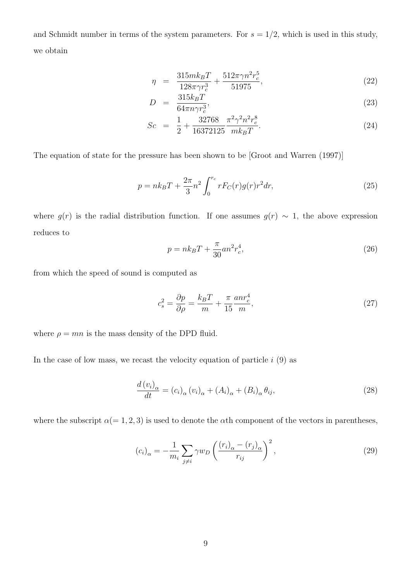and Schmidt number in terms of the system parameters. For  $s = 1/2$ , which is used in this study, we obtain

$$
\eta = \frac{315mk_BT}{128\pi\gamma r_c^3} + \frac{512\pi\gamma n^2 r_c^5}{51975},\tag{22}
$$

$$
D = \frac{315k_BT}{64\pi n\gamma r_c^3},\tag{23}
$$

$$
Sc = \frac{1}{2} + \frac{32768}{16372125} \frac{\pi^2 \gamma^2 n^2 r_c^8}{mk_B T}.
$$
\n(24)

The equation of state for the pressure has been shown to be [Groot and Warren (1997)]

$$
p = nk_B T + \frac{2\pi}{3} n^2 \int_0^{r_c} r F_C(r) g(r) r^2 dr,
$$
\n(25)

where  $g(r)$  is the radial distribution function. If one assumes  $g(r) \sim 1$ , the above expression reduces to

$$
p = nk_B T + \frac{\pi}{30} a n^2 r_c^4,
$$
\n(26)

from which the speed of sound is computed as

$$
c_s^2 = \frac{\partial p}{\partial \rho} = \frac{k_B T}{m} + \frac{\pi}{15} \frac{an r_c^4}{m},\tag{27}
$$

where  $\rho = mn$  is the mass density of the DPD fluid.

In the case of low mass, we recast the velocity equation of particle  $i(9)$  as

$$
\frac{d(v_i)_{\alpha}}{dt} = (c_i)_{\alpha} (v_i)_{\alpha} + (A_i)_{\alpha} + (B_i)_{\alpha} \theta_{ij},
$$
\n(28)

where the subscript  $\alpha(= 1, 2, 3)$  is used to denote the  $\alpha$ th component of the vectors in parentheses,

$$
(c_i)_{\alpha} = -\frac{1}{m_i} \sum_{j \neq i} \gamma w_D \left( \frac{(r_i)_{\alpha} - (r_j)_{\alpha}}{r_{ij}} \right)^2,
$$
\n(29)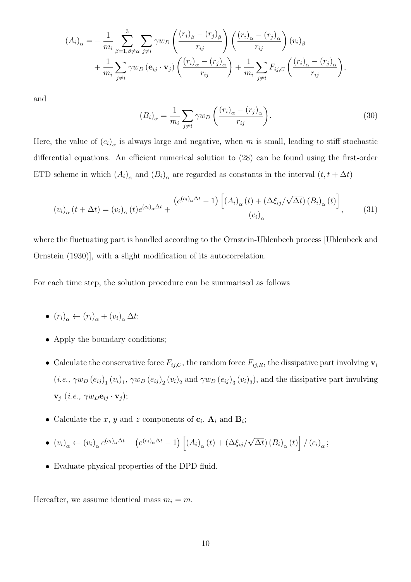$$
(A_i)_{\alpha} = -\frac{1}{m_i} \sum_{\beta=1,\beta \neq \alpha}^{3} \sum_{j \neq i} \gamma w_D \left( \frac{(r_i)_{\beta} - (r_j)_{\beta}}{r_{ij}} \right) \left( \frac{(r_i)_{\alpha} - (r_j)_{\alpha}}{r_{ij}} \right) (v_i)_{\beta} + \frac{1}{m_i} \sum_{j \neq i} \gamma w_D (\mathbf{e}_{ij} \cdot \mathbf{v}_j) \left( \frac{(r_i)_{\alpha} - (r_j)_{\alpha}}{r_{ij}} \right) + \frac{1}{m_i} \sum_{j \neq i} F_{ij,C} \left( \frac{(r_i)_{\alpha} - (r_j)_{\alpha}}{r_{ij}} \right),
$$

and

$$
(B_i)_{\alpha} = \frac{1}{m_i} \sum_{j \neq i} \gamma w_D \left( \frac{(r_i)_{\alpha} - (r_j)_{\alpha}}{r_{ij}} \right).
$$
 (30)

Here, the value of  $(c_i)_{\alpha}$  is always large and negative, when *m* is small, leading to stiff stochastic differential equations. An efficient numerical solution to (28) can be found using the first-order ETD scheme in which  $(A_i)_{\alpha}$  and  $(B_i)_{\alpha}$  are regarded as constants in the interval  $(t, t + \Delta t)$ 

$$
(v_i)_{\alpha} (t + \Delta t) = (v_i)_{\alpha} (t) e^{(c_i)_{\alpha} \Delta t} + \frac{\left(e^{(c_i)_{\alpha} \Delta t} - 1\right) \left[ \left(A_i\right)_{\alpha} (t) + \left(\Delta \xi_{ij} / \sqrt{\Delta t}\right) \left(B_i\right)_{\alpha} (t)\right]}{(c_i)_{\alpha}}, \tag{31}
$$

where the fluctuating part is handled according to the Ornstein-Uhlenbech process [Uhlenbeck and Ornstein (1930)], with a slight modification of its autocorrelation.

For each time step, the solution procedure can be summarised as follows

- $\bullet$   $(r_i)_\alpha \leftarrow (r_i)_\alpha + (v_i)_\alpha \Delta t;$
- Apply the boundary conditions;
- Calculate the conservative force  $F_{ij,C}$ , the random force  $F_{ij,R}$ , the dissipative part involving  $\mathbf{v}_i$  $(i.e., \gamma w_D (e_{ij})_1 (v_i)_1, \gamma w_D (e_{ij})_2 (v_i)_2$  and  $\gamma w_D (e_{ij})_3 (v_i)_3$ , and the dissipative part involving  $\mathbf{v}_i$  (*i.e.*,  $\gamma w_D \mathbf{e}_{ij} \cdot \mathbf{v}_i$ );
- Calculate the *x*, *y* and *z* components of  $\mathbf{c}_i$ ,  $\mathbf{A}_i$  and  $\mathbf{B}_i$ ;

• 
$$
(v_i)_{\alpha} \leftarrow (v_i)_{\alpha} e^{(c_i)_{\alpha} \Delta t} + (e^{(c_i)_{\alpha} \Delta t} - 1) \left[ (A_i)_{\alpha} (t) + (\Delta \xi_{ij} / \sqrt{\Delta t}) (B_i)_{\alpha} (t) \right] / (c_i)_{\alpha};
$$

• Evaluate physical properties of the DPD fluid.

Hereafter, we assume identical mass  $m_i = m$ .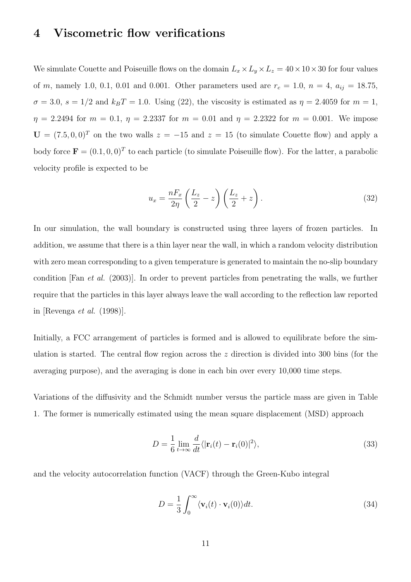#### **4 Viscometric flow verifications**

We simulate Couette and Poiseuille flows on the domain  $L_x \times L_y \times L_z = 40 \times 10 \times 30$  for four values of *m*, namely 1.0, 0.1, 0.01 and 0.001. Other parameters used are  $r_c = 1.0$ ,  $n = 4$ ,  $a_{ij} = 18.75$ ,  $\sigma = 3.0, s = 1/2$  and  $k_B T = 1.0$ . Using (22), the viscosity is estimated as  $\eta = 2.4059$  for  $m = 1$ , *η* = 2.2494 for  $m = 0.1$ ,  $\eta = 2.2337$  for  $m = 0.01$  and  $\eta = 2.2322$  for  $m = 0.001$ . We impose  $U = (7.5, 0, 0)^T$  on the two walls  $z = -15$  and  $z = 15$  (to simulate Couette flow) and apply a body force  $\mathbf{F} = (0.1, 0, 0)^T$  to each particle (to simulate Poiseuille flow). For the latter, a parabolic velocity profile is expected to be

$$
u_x = \frac{nF_x}{2\eta} \left(\frac{L_z}{2} - z\right) \left(\frac{L_z}{2} + z\right). \tag{32}
$$

In our simulation, the wall boundary is constructed using three layers of frozen particles. In addition, we assume that there is a thin layer near the wall, in which a random velocity distribution with zero mean corresponding to a given temperature is generated to maintain the no-slip boundary condition [Fan *et al.* (2003)]. In order to prevent particles from penetrating the walls, we further require that the particles in this layer always leave the wall according to the reflection law reported in [Revenga *et al.* (1998)].

Initially, a FCC arrangement of particles is formed and is allowed to equilibrate before the simulation is started. The central flow region across the *z* direction is divided into 300 bins (for the averaging purpose), and the averaging is done in each bin over every 10,000 time steps.

Variations of the diffusivity and the Schmidt number versus the particle mass are given in Table 1. The former is numerically estimated using the mean square displacement (MSD) approach

$$
D = \frac{1}{6} \lim_{t \to \infty} \frac{d}{dt} \langle |\mathbf{r}_i(t) - \mathbf{r}_i(0)|^2 \rangle,
$$
\n(33)

and the velocity autocorrelation function (VACF) through the Green-Kubo integral

$$
D = \frac{1}{3} \int_0^\infty \langle \mathbf{v}_i(t) \cdot \mathbf{v}_i(0) \rangle dt.
$$
 (34)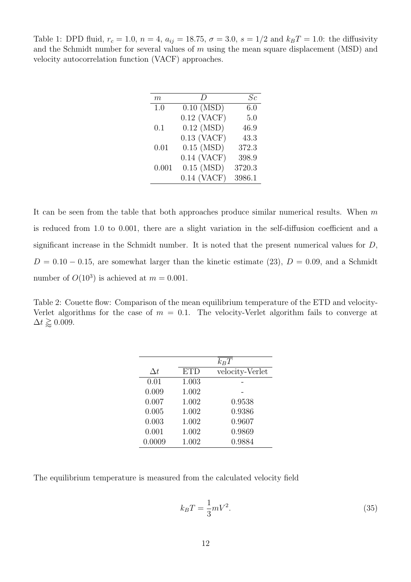Table 1: DPD fluid,  $r_c = 1.0$ ,  $n = 4$ ,  $a_{ij} = 18.75$ ,  $\sigma = 3.0$ ,  $s = 1/2$  and  $k_B T = 1.0$ : the diffusivity and the Schmidt number for several values of *m* using the mean square displacement (MSD) and velocity autocorrelation function (VACF) approaches.

| m     |               | Sc     |
|-------|---------------|--------|
| 1.0   | $0.10$ (MSD)  | 6.0    |
|       | $0.12$ (VACF) | 5.0    |
| 0.1   | $0.12$ (MSD)  | 46.9   |
|       | $0.13$ (VACF) | 43.3   |
| 0.01  | $0.15$ (MSD)  | 372.3  |
|       | $0.14$ (VACF) | 398.9  |
| 0.001 | $0.15$ (MSD)  | 3720.3 |
|       | $0.14$ (VACF) | 3986.1 |

It can be seen from the table that both approaches produce similar numerical results. When *m* is reduced from 1.0 to 0.001, there are a slight variation in the self-diffusion coefficient and a significant increase in the Schmidt number. It is noted that the present numerical values for *D*,  $D = 0.10 - 0.15$ , are somewhat larger than the kinetic estimate (23),  $D = 0.09$ , and a Schmidt number of  $O(10^3)$  is achieved at  $m = 0.001$ .

Table 2: Couette flow: Comparison of the mean equilibrium temperature of the ETD and velocity-Verlet algorithms for the case of  $m = 0.1$ . The velocity-Verlet algorithm fails to converge at  $\Delta t \gtrapprox 0.009$ .

|            |            | $k_BT$          |
|------------|------------|-----------------|
| $\Delta t$ | <b>ETD</b> | velocity-Verlet |
| 0.01       | 1.003      |                 |
| 0.009      | 1.002      |                 |
| 0.007      | 1.002      | 0.9538          |
| 0.005      | 1.002      | 0.9386          |
| 0.003      | $1.002\,$  | 0.9607          |
| 0.001      | 1.002      | 0.9869          |
| 0.0009     | 1.002      | 0.9884          |

The equilibrium temperature is measured from the calculated velocity field

$$
k_B T = \frac{1}{3} mV^2. \tag{35}
$$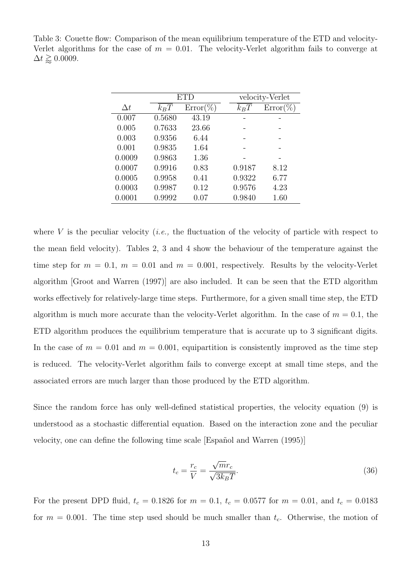Table 3: Couette flow: Comparison of the mean equilibrium temperature of the ETD and velocity-Verlet algorithms for the case of  $m = 0.01$ . The velocity-Verlet algorithm fails to converge at  $\Delta t \gtrapprox 0.0009$ .

|            | ETD    |             | velocity-Verlet |             |  |
|------------|--------|-------------|-----------------|-------------|--|
| $\Delta t$ | $k_BT$ | $Error(\%)$ | $k_BT$          | $Error(\%)$ |  |
| 0.007      | 0.5680 | 43.19       |                 |             |  |
| 0.005      | 0.7633 | 23.66       |                 |             |  |
| 0.003      | 0.9356 | 6.44        |                 |             |  |
| 0.001      | 0.9835 | 1.64        |                 |             |  |
| 0.0009     | 0.9863 | 1.36        |                 |             |  |
| 0.0007     | 0.9916 | 0.83        | 0.9187          | 8.12        |  |
| 0.0005     | 0.9958 | 0.41        | 0.9322          | 6.77        |  |
| 0.0003     | 0.9987 | 0.12        | 0.9576          | 4.23        |  |
| 0.0001     | 0.9992 | 0.07        | 0.9840          | 1.60        |  |

where *V* is the peculiar velocity (*i.e.,* the fluctuation of the velocity of particle with respect to the mean field velocity). Tables 2, 3 and 4 show the behaviour of the temperature against the time step for  $m = 0.1$ ,  $m = 0.01$  and  $m = 0.001$ , respectively. Results by the velocity-Verlet algorithm [Groot and Warren (1997)] are also included. It can be seen that the ETD algorithm works effectively for relatively-large time steps. Furthermore, for a given small time step, the ETD algorithm is much more accurate than the velocity-Verlet algorithm. In the case of  $m = 0.1$ , the ETD algorithm produces the equilibrium temperature that is accurate up to 3 significant digits. In the case of  $m = 0.01$  and  $m = 0.001$ , equipartition is consistently improved as the time step is reduced. The velocity-Verlet algorithm fails to converge except at small time steps, and the associated errors are much larger than those produced by the ETD algorithm.

Since the random force has only well-defined statistical properties, the velocity equation (9) is understood as a stochastic differential equation. Based on the interaction zone and the peculiar velocity, one can define the following time scale [Español and Warren (1995)]

$$
t_c = \frac{r_c}{V} = \frac{\sqrt{m}r_c}{\sqrt{3k_B T}}.\tag{36}
$$

For the present DPD fluid,  $t_c = 0.1826$  for  $m = 0.1$ ,  $t_c = 0.0577$  for  $m = 0.01$ , and  $t_c = 0.0183$ for  $m = 0.001$ . The time step used should be much smaller than  $t_c$ . Otherwise, the motion of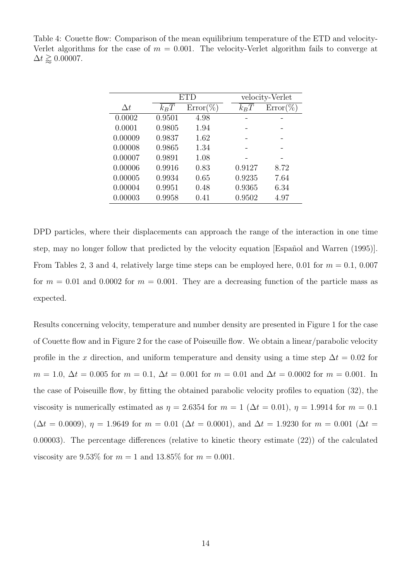Table 4: Couette flow: Comparison of the mean equilibrium temperature of the ETD and velocity-Verlet algorithms for the case of  $m = 0.001$ . The velocity-Verlet algorithm fails to converge at  $\Delta t \gtrapprox 0.00007$ .

|            | ETD    |             | velocity-Verlet |             |  |
|------------|--------|-------------|-----------------|-------------|--|
| $\Delta t$ | $k_BT$ | $Error(\%)$ | $k_BT$          | $Error(\%)$ |  |
| 0.0002     | 0.9501 | 4.98        |                 |             |  |
| 0.0001     | 0.9805 | 1.94        |                 |             |  |
| 0.00009    | 0.9837 | 1.62        |                 |             |  |
| 0.00008    | 0.9865 | 1.34        |                 |             |  |
| 0.00007    | 0.9891 | 1.08        |                 |             |  |
| 0.00006    | 0.9916 | 0.83        | 0.9127          | 8.72        |  |
| 0.00005    | 0.9934 | 0.65        | 0.9235          | 7.64        |  |
| 0.00004    | 0.9951 | 0.48        | 0.9365          | 6.34        |  |
| 0.00003    | 0.9958 | 0.41        | 0.9502          | 4.97        |  |

DPD particles, where their displacements can approach the range of the interaction in one time step, may no longer follow that predicted by the velocity equation [Español and Warren (1995)]. From Tables 2, 3 and 4, relatively large time steps can be employed here, 0.01 for  $m = 0.1, 0.007$ for  $m = 0.01$  and 0.0002 for  $m = 0.001$ . They are a decreasing function of the particle mass as expected.

Results concerning velocity, temperature and number density are presented in Figure 1 for the case of Couette flow and in Figure 2 for the case of Poiseuille flow. We obtain a linear/parabolic velocity profile in the *x* direction, and uniform temperature and density using a time step  $\Delta t = 0.02$  for *m* = 1.0,  $\Delta t$  = 0.005 for *m* = 0.1,  $\Delta t$  = 0.001 for *m* = 0.01 and  $\Delta t$  = 0.0002 for *m* = 0.001. In the case of Poiseuille flow, by fitting the obtained parabolic velocity profiles to equation (32), the viscosity is numerically estimated as  $\eta = 2.6354$  for  $m = 1$  ( $\Delta t = 0.01$ ),  $\eta = 1.9914$  for  $m = 0.1$  $(\Delta t = 0.0009), \eta = 1.9649$  for  $m = 0.01$  ( $\Delta t = 0.0001$ ), and  $\Delta t = 1.9230$  for  $m = 0.001$  ( $\Delta t = 0.0009$ ) 0*.*00003). The percentage differences (relative to kinetic theory estimate (22)) of the calculated viscosity are  $9.53\%$  for  $m = 1$  and  $13.85\%$  for  $m = 0.001$ .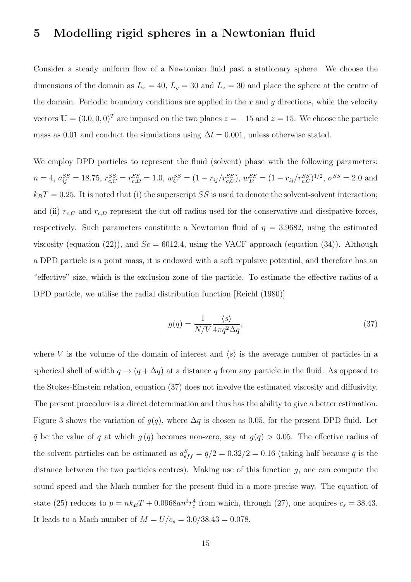#### **5 Modelling rigid spheres in a Newtonian fluid**

Consider a steady uniform flow of a Newtonian fluid past a stationary sphere. We choose the dimensions of the domain as  $L_x = 40$ ,  $L_y = 30$  and  $L_z = 30$  and place the sphere at the centre of the domain. Periodic boundary conditions are applied in the *x* and *y* directions, while the velocity vectors  $U = (3.0, 0, 0)^T$  are imposed on the two planes  $z = -15$  and  $z = 15$ . We choose the particle mass as 0.01 and conduct the simulations using  $\Delta t = 0.001$ , unless otherwise stated.

We employ DPD particles to represent the fluid (solvent) phase with the following parameters:  $n = 4$ ,  $a_{ij}^{SS} = 18.75$ ,  $r_{c,C}^{SS} = r_{c,D}^{SS} = 1.0$ ,  $w_C^{SS} = (1 - r_{ij}/r_{c,C}^{SS})$ ,  $w_D^{SS} = (1 - r_{ij}/r_{c,C}^{SS})^{1/2}$ ,  $\sigma^{SS} = 2.0$  and  $k_B T = 0.25$ . It is noted that (i) the superscript *SS* is used to denote the solvent-solvent interaction; and (ii)  $r_{c,C}$  and  $r_{c,D}$  represent the cut-off radius used for the conservative and dissipative forces, respectively. Such parameters constitute a Newtonian fluid of  $\eta = 3.9682$ , using the estimated viscosity (equation (22)), and  $Sc = 6012.4$ , using the VACF approach (equation (34)). Although a DPD particle is a point mass, it is endowed with a soft repulsive potential, and therefore has an "effective" size, which is the exclusion zone of the particle. To estimate the effective radius of a DPD particle, we utilise the radial distribution function [Reichl (1980)]

$$
g(q) = \frac{1}{N/V} \frac{\langle s \rangle}{4\pi q^2 \Delta q},\tag{37}
$$

where *V* is the volume of the domain of interest and  $\langle s \rangle$  is the average number of particles in a spherical shell of width  $q \rightarrow (q + \Delta q)$  at a distance *q* from any particle in the fluid. As opposed to the Stokes-Einstein relation, equation (37) does not involve the estimated viscosity and diffusivity. The present procedure is a direct determination and thus has the ability to give a better estimation. Figure 3 shows the variation of  $g(q)$ , where  $\Delta q$  is chosen as 0.05, for the present DPD fluid. Let  $\bar{q}$  be the value of *q* at which *g*(*q*) becomes non-zero, say at  $g(q) > 0.05$ . The effective radius of the solvent particles can be estimated as  $a_{eff}^S = \bar{q}/2 = 0.32/2 = 0.16$  (taking half because  $\bar{q}$  is the distance between the two particles centres). Making use of this function *g*, one can compute the sound speed and the Mach number for the present fluid in a more precise way. The equation of state (25) reduces to  $p = nk_BT + 0.0968an^2r_c^4$  from which, through (27), one acquires  $c_s = 38.43$ . It leads to a Mach number of  $M = U/c_s = 3.0/38.43 = 0.078$ .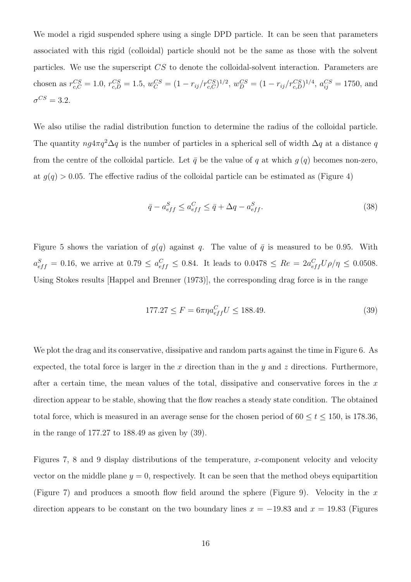We model a rigid suspended sphere using a single DPD particle. It can be seen that parameters associated with this rigid (colloidal) particle should not be the same as those with the solvent particles. We use the superscript *CS* to denote the colloidal-solvent interaction. Parameters are chosen as  $r_{c,C}^{CS} = 1.0$ ,  $r_{c,D}^{CS} = 1.5$ ,  $w_C^{CS} = (1 - r_{ij}/r_{c,C}^{CS})^{1/2}$ ,  $w_D^{CS} = (1 - r_{ij}/r_{c,D}^{CS})^{1/4}$ ,  $a_{ij}^{CS} = 1750$ , and  $\sigma^{CS} = 3.2$ .

We also utilise the radial distribution function to determine the radius of the colloidal particle. The quantity  $ng4\pi q^2\Delta q$  is the number of particles in a spherical sell of width  $\Delta q$  at a distance *q* from the centre of the colloidal particle. Let  $\bar{q}$  be the value of  $q$  at which  $g(q)$  becomes non-zero, at  $g(q) > 0.05$ . The effective radius of the colloidal particle can be estimated as (Figure 4)

$$
\bar{q} - a_{eff}^S \le a_{eff}^C \le \bar{q} + \Delta q - a_{eff}^S. \tag{38}
$$

Figure 5 shows the variation of  $g(q)$  against q. The value of  $\bar{q}$  is measured to be 0.95. With  $a_{eff}^S = 0.16$ , we arrive at  $0.79 \le a_{eff}^C \le 0.84$ . It leads to  $0.0478 \le Re = 2a_{eff}^C U \rho/\eta \le 0.0508$ . Using Stokes results [Happel and Brenner (1973)], the corresponding drag force is in the range

$$
177.27 \le F = 6\pi \eta a_{eff}^C U \le 188.49. \tag{39}
$$

We plot the drag and its conservative, dissipative and random parts against the time in Figure 6. As expected, the total force is larger in the *x* direction than in the *y* and *z* directions. Furthermore, after a certain time, the mean values of the total, dissipative and conservative forces in the *x* direction appear to be stable, showing that the flow reaches a steady state condition. The obtained total force, which is measured in an average sense for the chosen period of  $60 \le t \le 150$ , is 178.36, in the range of 177.27 to 188.49 as given by (39).

Figures 7, 8 and 9 display distributions of the temperature, *x*-component velocity and velocity vector on the middle plane  $y = 0$ , respectively. It can be seen that the method obeys equipartition (Figure 7) and produces a smooth flow field around the sphere (Figure 9). Velocity in the *x* direction appears to be constant on the two boundary lines  $x = -19.83$  and  $x = 19.83$  (Figures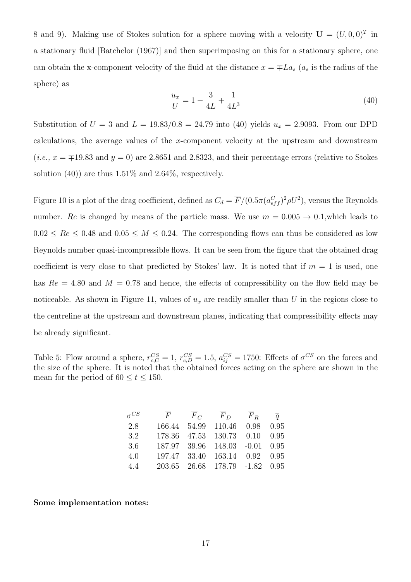8 and 9). Making use of Stokes solution for a sphere moving with a velocity  $U = (U, 0, 0)^T$  in a stationary fluid [Batchelor (1967)] and then superimposing on this for a stationary sphere, one can obtain the x-component velocity of the fluid at the distance  $x = \pm La_s$  ( $a_s$  is the radius of the sphere) as

$$
\frac{u_x}{U} = 1 - \frac{3}{4L} + \frac{1}{4L^3} \tag{40}
$$

Substitution of  $U = 3$  and  $L = 19.83/0.8 = 24.79$  into (40) yields  $u_x = 2.9093$ . From our DPD calculations, the average values of the *x*-component velocity at the upstream and downstream  $(i.e., x = \pm 19.83$  and  $y = 0$ ) are 2.8651 and 2.8323, and their percentage errors (relative to Stokes solution (40)) are thus  $1.51\%$  and  $2.64\%$ , respectively.

Figure 10 is a plot of the drag coefficient, defined as  $C_d = \overline{F}/(0.5\pi(a_{eff}^C)^2\rho U^2)$ , versus the Reynolds number. *Re* is changed by means of the particle mass. We use  $m = 0.005 \rightarrow 0.1$ , which leads to  $0.02 \leq Re \leq 0.48$  and  $0.05 \leq M \leq 0.24$ . The corresponding flows can thus be considered as low Reynolds number quasi-incompressible flows. It can be seen from the figure that the obtained drag coefficient is very close to that predicted by Stokes' law. It is noted that if  $m = 1$  is used, one has  $Re = 4.80$  and  $M = 0.78$  and hence, the effects of compressibility on the flow field may be noticeable. As shown in Figure 11, values of  $u_x$  are readily smaller than  $U$  in the regions close to the centreline at the upstream and downstream planes, indicating that compressibility effects may be already significant.

Table 5: Flow around a sphere,  $r_{c,C}^{CS} = 1$ ,  $r_{c,D}^{CS} = 1.5$ ,  $a_{ij}^{CS} = 1750$ : Effects of  $\sigma^{CS}$  on the forces and the size of the sphere. It is noted that the obtained forces acting on the sphere are shown in the mean for the period of  $60 \le t \le 150$ .

| $\sigma^{C\overline{S}}$ | $F_{\cdot}$ | $F_C$ | $F_D$                          | $F_R$ | $\overline{a}$ |
|--------------------------|-------------|-------|--------------------------------|-------|----------------|
| 2.8                      |             |       | 166.44 54.99 110.46 0.98       |       | 0.95           |
| 3.2                      | 178.36      |       | 47.53 130.73 0.10              |       | 0.95           |
| 3.6                      |             |       | 187.97 39.96 148.03 -0.01 0.95 |       |                |
| 4.0                      | 197.47      |       | 33.40 163.14 0.92              |       | 0.95           |
| 44                       | 203.65      |       | 26.68 178.79 -1.82             |       | 0.95           |

#### **Some implementation notes:**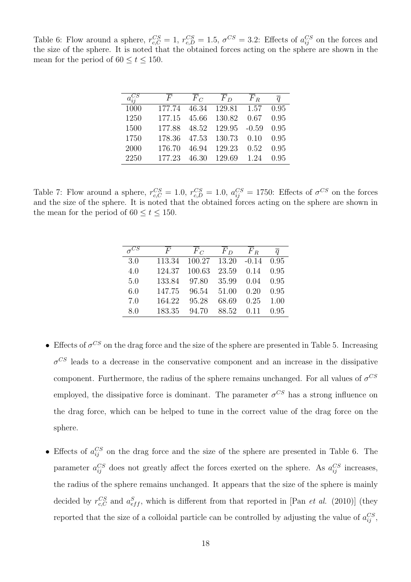Table 6: Flow around a sphere,  $r_{c,C}^{CS} = 1$ ,  $r_{c,D}^{CS} = 1.5$ ,  $\sigma^{CS} = 3.2$ : Effects of  $a_{ij}^{CS}$  on the forces and the size of the sphere. It is noted that the obtained forces acting on the sphere are shown in the mean for the period of  $60 \le t \le 150$ .

| $a_{ij}^{CS}$ | $F_{\cdot}$ | $F_C$ | $F_D$  | $F_R$   | $\overline{a}$ |
|---------------|-------------|-------|--------|---------|----------------|
| 1000          | 177.74      | 46.34 | 129.81 | 1.57    | 0.95           |
| 1250          | 177.15      | 45.66 | 130.82 | 0.67    | 0.95           |
| 1500          | 177.88      | 48.52 | 129.95 | $-0.59$ | 0.95           |
| 1750          | 178.36      | 47.53 | 130.73 | 0.10    | 0.95           |
| 2000          | 176.70      | 46.94 | 129.23 | 0.52    | 0.95           |
| 2250          | 177.23      | 46.30 | 129.69 | 1.24    | 0.95           |
|               |             |       |        |         |                |

Table 7: Flow around a sphere,  $r_{c,C}^{CS} = 1.0$ ,  $r_{c,D}^{CS} = 1.0$ ,  $a_{ij}^{CS} = 1750$ : Effects of  $\sigma^{CS}$  on the forces and the size of the sphere. It is noted that the obtained forces acting on the sphere are shown in the mean for the period of  $60 \le t \le 150$ .

| $\sigma^{CS}$ | $F_{\cdot}$ | $F_C$  | $F_D$ | $F_R$   | $\overline{q}$ |
|---------------|-------------|--------|-------|---------|----------------|
| 3.0           | 113.34      | 100.27 | 13.20 | $-0.14$ | 0.95           |
| 4.0           | 124.37      | 100.63 | 23.59 | 0.14    | 0.95           |
| 5.0           | 133.84      | 97.80  | 35.99 | 0.04    | 0.95           |
| 6.0           | 147.75      | 96.54  | 51.00 | 0.20    | 0.95           |
| 7.0           | 164.22      | 95.28  | 68.69 | 0.25    | 1.00           |
| 8.0           | 183.35      | 94.70  | 88.52 | 0.11    | 0.95           |

- Effects of  $\sigma^{CS}$  on the drag force and the size of the sphere are presented in Table 5. Increasing  $\sigma^{CS}$  leads to a decrease in the conservative component and an increase in the dissipative component. Furthermore, the radius of the sphere remains unchanged. For all values of  $\sigma^{CS}$ employed, the dissipative force is dominant. The parameter  $\sigma^{CS}$  has a strong influence on the drag force, which can be helped to tune in the correct value of the drag force on the sphere.
- Effects of  $a_{ij}^{CS}$  on the drag force and the size of the sphere are presented in Table 6. The parameter  $a_{ij}^{CS}$  does not greatly affect the forces exerted on the sphere. As  $a_{ij}^{CS}$  increases, the radius of the sphere remains unchanged. It appears that the size of the sphere is mainly decided by  $r_{c,C}^{CS}$  and  $a_{eff}^{S}$ , which is different from that reported in [Pan *et al.* (2010)] (they reported that the size of a colloidal particle can be controlled by adjusting the value of  $a_{ij}^{CS}$ ,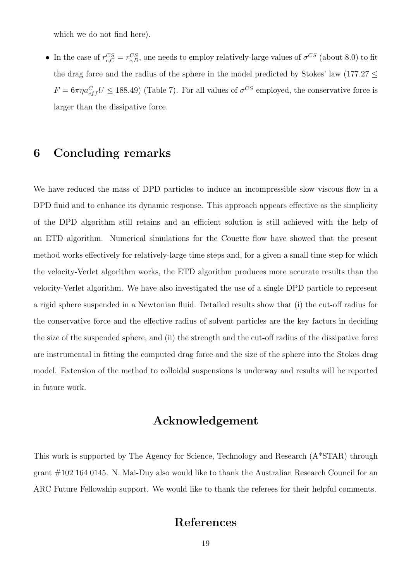which we do not find here).

• In the case of  $r_{c,C}^{CS} = r_{c,D}^{CS}$ , one needs to employ relatively-large values of  $\sigma^{CS}$  (about 8.0) to fit the drag force and the radius of the sphere in the model predicted by Stokes' law (177*.*27 *≤*  $F = 6\pi\eta a_{eff}^C U \leq 188.49$  (Table 7). For all values of  $\sigma^{CS}$  employed, the conservative force is larger than the dissipative force.

#### **6 Concluding remarks**

We have reduced the mass of DPD particles to induce an incompressible slow viscous flow in a DPD fluid and to enhance its dynamic response. This approach appears effective as the simplicity of the DPD algorithm still retains and an efficient solution is still achieved with the help of an ETD algorithm. Numerical simulations for the Couette flow have showed that the present method works effectively for relatively-large time steps and, for a given a small time step for which the velocity-Verlet algorithm works, the ETD algorithm produces more accurate results than the velocity-Verlet algorithm. We have also investigated the use of a single DPD particle to represent a rigid sphere suspended in a Newtonian fluid. Detailed results show that (i) the cut-off radius for the conservative force and the effective radius of solvent particles are the key factors in deciding the size of the suspended sphere, and (ii) the strength and the cut-off radius of the dissipative force are instrumental in fitting the computed drag force and the size of the sphere into the Stokes drag model. Extension of the method to colloidal suspensions is underway and results will be reported in future work.

### **Acknowledgement**

This work is supported by The Agency for Science, Technology and Research (A\*STAR) through grant #102 164 0145. N. Mai-Duy also would like to thank the Australian Research Council for an ARC Future Fellowship support. We would like to thank the referees for their helpful comments.

#### **References**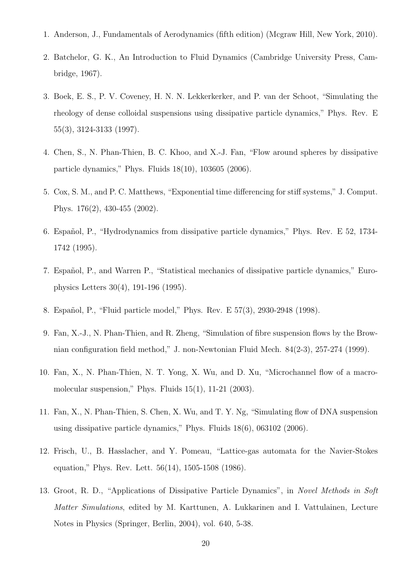- 1. Anderson, J., Fundamentals of Aerodynamics (fifth edition) (Mcgraw Hill, New York, 2010).
- 2. Batchelor, G. K., An Introduction to Fluid Dynamics (Cambridge University Press, Cambridge, 1967).
- 3. Boek, E. S., P. V. Coveney, H. N. N. Lekkerkerker, and P. van der Schoot, "Simulating the rheology of dense colloidal suspensions using dissipative particle dynamics," Phys. Rev. E 55(3), 3124-3133 (1997).
- 4. Chen, S., N. Phan-Thien, B. C. Khoo, and X.-J. Fan, "Flow around spheres by dissipative particle dynamics," Phys. Fluids 18(10), 103605 (2006).
- 5. Cox, S. M., and P. C. Matthews, "Exponential time differencing for stiff systems," J. Comput. Phys. 176(2), 430-455 (2002).
- 6. Español, P., "Hydrodynamics from dissipative particle dynamics," Phys. Rev. E 52, 1734-1742 (1995).
- 7. Español, P., and Warren P., "Statistical mechanics of dissipative particle dynamics," Europhysics Letters 30(4), 191-196 (1995).
- 8. Español, P., "Fluid particle model," Phys. Rev. E 57(3), 2930-2948 (1998).
- 9. Fan, X.-J., N. Phan-Thien, and R. Zheng, "Simulation of fibre suspension flows by the Brownian configuration field method," J. non-Newtonian Fluid Mech. 84(2-3), 257-274 (1999).
- 10. Fan, X., N. Phan-Thien, N. T. Yong, X. Wu, and D. Xu, "Microchannel flow of a macromolecular suspension," Phys. Fluids 15(1), 11-21 (2003).
- 11. Fan, X., N. Phan-Thien, S. Chen, X. Wu, and T. Y. Ng, "Simulating flow of DNA suspension using dissipative particle dynamics," Phys. Fluids 18(6), 063102 (2006).
- 12. Frisch, U., B. Hasslacher, and Y. Pomeau, "Lattice-gas automata for the Navier-Stokes equation," Phys. Rev. Lett. 56(14), 1505-1508 (1986).
- 13. Groot, R. D., "Applications of Dissipative Particle Dynamics", in *Novel Methods in Soft Matter Simulations*, edited by M. Karttunen, A. Lukkarinen and I. Vattulainen, Lecture Notes in Physics (Springer, Berlin, 2004), vol. 640, 5-38.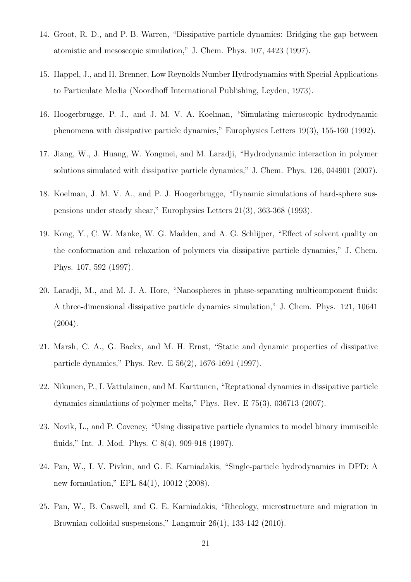- 14. Groot, R. D., and P. B. Warren, "Dissipative particle dynamics: Bridging the gap between atomistic and mesoscopic simulation," J. Chem. Phys. 107, 4423 (1997).
- 15. Happel, J., and H. Brenner, Low Reynolds Number Hydrodynamics with Special Applications to Particulate Media (Noordhoff International Publishing, Leyden, 1973).
- 16. Hoogerbrugge, P. J., and J. M. V. A. Koelman, "Simulating microscopic hydrodynamic phenomena with dissipative particle dynamics," Europhysics Letters 19(3), 155-160 (1992).
- 17. Jiang, W., J. Huang, W. Yongmei, and M. Laradji, "Hydrodynamic interaction in polymer solutions simulated with dissipative particle dynamics," J. Chem. Phys. 126, 044901 (2007).
- 18. Koelman, J. M. V. A., and P. J. Hoogerbrugge, "Dynamic simulations of hard-sphere suspensions under steady shear," Europhysics Letters 21(3), 363-368 (1993).
- 19. Kong, Y., C. W. Manke, W. G. Madden, and A. G. Schlijper, "Effect of solvent quality on the conformation and relaxation of polymers via dissipative particle dynamics," J. Chem. Phys. 107, 592 (1997).
- 20. Laradji, M., and M. J. A. Hore, "Nanospheres in phase-separating multicomponent fluids: A three-dimensional dissipative particle dynamics simulation," J. Chem. Phys. 121, 10641  $(2004).$
- 21. Marsh, C. A., G. Backx, and M. H. Ernst, "Static and dynamic properties of dissipative particle dynamics," Phys. Rev. E 56(2), 1676-1691 (1997).
- 22. Nikunen, P., I. Vattulainen, and M. Karttunen, "Reptational dynamics in dissipative particle dynamics simulations of polymer melts," Phys. Rev. E 75(3), 036713 (2007).
- 23. Novik, L., and P. Coveney, "Using dissipative particle dynamics to model binary immiscible fluids," Int. J. Mod. Phys. C 8(4), 909-918 (1997).
- 24. Pan, W., I. V. Pivkin, and G. E. Karniadakis, "Single-particle hydrodynamics in DPD: A new formulation," EPL 84(1), 10012 (2008).
- 25. Pan, W., B. Caswell, and G. E. Karniadakis, "Rheology, microstructure and migration in Brownian colloidal suspensions," Langmuir 26(1), 133-142 (2010).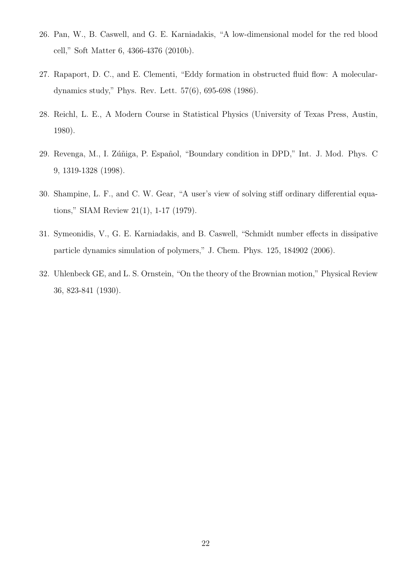- 26. Pan, W., B. Caswell, and G. E. Karniadakis, "A low-dimensional model for the red blood cell," Soft Matter 6, 4366-4376 (2010b).
- 27. Rapaport, D. C., and E. Clementi, "Eddy formation in obstructed fluid flow: A moleculardynamics study," Phys. Rev. Lett. 57(6), 695-698 (1986).
- 28. Reichl, L. E., A Modern Course in Statistical Physics (University of Texas Press, Austin, 1980).
- 29. Revenga, M., I. Zúñiga, P. Español, "Boundary condition in DPD," Int. J. Mod. Phys. C 9, 1319-1328 (1998).
- 30. Shampine, L. F., and C. W. Gear, "A user's view of solving stiff ordinary differential equations," SIAM Review 21(1), 1-17 (1979).
- 31. Symeonidis, V., G. E. Karniadakis, and B. Caswell, "Schmidt number effects in dissipative particle dynamics simulation of polymers," J. Chem. Phys. 125, 184902 (2006).
- 32. Uhlenbeck GE, and L. S. Ornstein, "On the theory of the Brownian motion," Physical Review 36, 823-841 (1930).